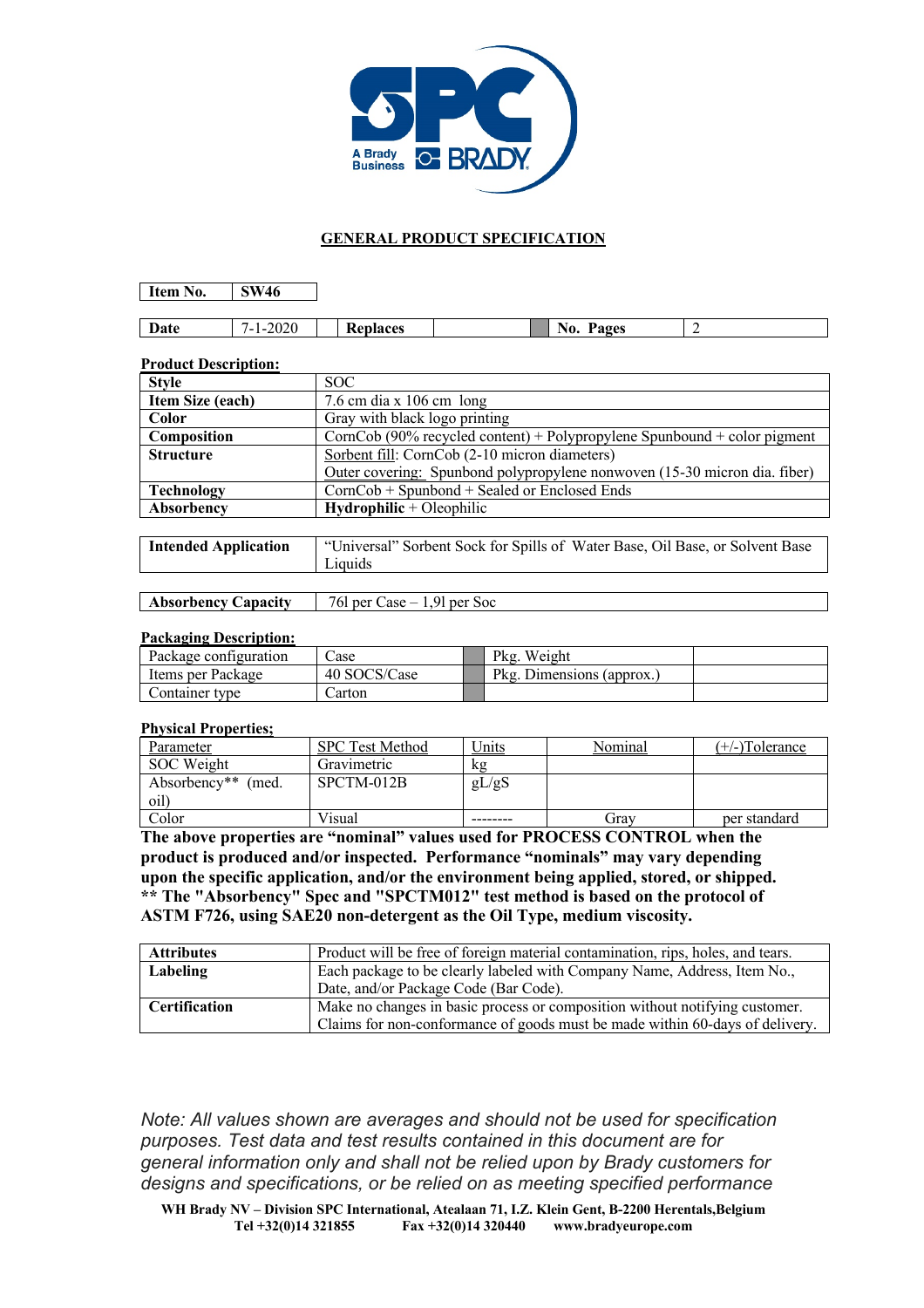

## **GENERAL PRODUCT SPECIFICATION**

**Item No. SW46**

| Date | $\sim$ $\sim$ $\sim$<br>'ור<br>$\cdot$<br>.<br>-<br>ZVZV<br>_____ | 10000<br>⊶ م ب<br>к.<br>'ALCS | -<br>1 U | ages' |  |
|------|-------------------------------------------------------------------|-------------------------------|----------|-------|--|

#### **Product Description:**

| <b>Style</b>                | SOC.                                                                         |  |  |  |
|-----------------------------|------------------------------------------------------------------------------|--|--|--|
| Item Size (each)            | 7.6 cm dia x $106$ cm long                                                   |  |  |  |
| Color                       | Gray with black logo printing                                                |  |  |  |
| Composition                 | CornCob (90% recycled content) + Polypropylene Spunbound + color pigment     |  |  |  |
| <b>Structure</b>            | Sorbent fill: CornCob (2-10 micron diameters)                                |  |  |  |
|                             | Outer covering: Spunbond polypropylene nonwoven (15-30 micron dia. fiber)    |  |  |  |
| <b>Technology</b>           | $CornCob + Spunbond + Sealed or Enclosed Ends$                               |  |  |  |
| Absorbency                  | $Hydrophilic + Oleophilic$                                                   |  |  |  |
|                             |                                                                              |  |  |  |
| <b>Intended Application</b> | "Universal" Sorbent Sock for Spills of Water Base, Oil Base, or Solvent Base |  |  |  |
|                             | Liquids                                                                      |  |  |  |

|                                                                                                                 | ,我们就是一个人的,我们就是一个人的。""我们,我们就是一个人的。""我们,我们就是一个人的。""我们,我们就是一个人的。""我们,我们就是一个人的。""我们, |
|-----------------------------------------------------------------------------------------------------------------|----------------------------------------------------------------------------------|
|                                                                                                                 |                                                                                  |
|                                                                                                                 |                                                                                  |
|                                                                                                                 |                                                                                  |
|                                                                                                                 |                                                                                  |
|                                                                                                                 |                                                                                  |
|                                                                                                                 |                                                                                  |
|                                                                                                                 |                                                                                  |
|                                                                                                                 |                                                                                  |
| the contract of the contract of the contract of the contract of the contract of the contract of the contract of |                                                                                  |
|                                                                                                                 |                                                                                  |

# **Absorbency Capacity** 76l per Case – 1,9l per Soc

## **Packaging Description:**

| Package configuration | ∠ase         | Pkg. Weight               |  |
|-----------------------|--------------|---------------------------|--|
| Items per Package     | 40 SOCS/Case | Pkg. Dimensions (approx.) |  |
| Container type        | ∠arton       |                           |  |

### **Physical Properties;**

| Parameter          | <b>SPC Test Method</b> | Units | Nominal | $(+/-)$ Tolerance |
|--------------------|------------------------|-------|---------|-------------------|
| SOC Weight         | Gravimetric            | kg    |         |                   |
| Absorbency** (med. | SPCTM-012B             | gL/gS |         |                   |
| oil)               |                        |       |         |                   |
| Color              | Visual                 |       | Grav    | per standard      |

**The above properties are "nominal" values used for PROCESS CONTROL when the product is produced and/or inspected. Performance "nominals" may vary depending upon the specific application, and/or the environment being applied, stored, or shipped. \*\* The "Absorbency" Spec and "SPCTM012" test method is based on the protocol of ASTM F726, using SAE20 non-detergent as the Oil Type, medium viscosity.**

| <b>Attributes</b>    | Product will be free of foreign material contamination, rips, holes, and tears. |  |  |  |
|----------------------|---------------------------------------------------------------------------------|--|--|--|
| Labeling             | Each package to be clearly labeled with Company Name, Address, Item No.,        |  |  |  |
|                      | Date, and/or Package Code (Bar Code).                                           |  |  |  |
| <b>Certification</b> | Make no changes in basic process or composition without notifying customer.     |  |  |  |
|                      | Claims for non-conformance of goods must be made within 60-days of delivery.    |  |  |  |

*Note: All values shown are averages and should not be used for specification purposes. Test data and test results contained in this document are for general information only and shall not be relied upon by Brady customers for designs and specifications, or be relied on as meeting specified performance*